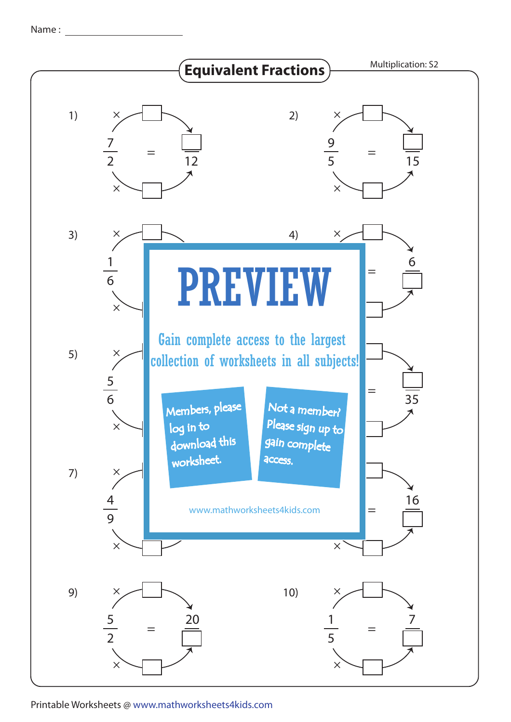